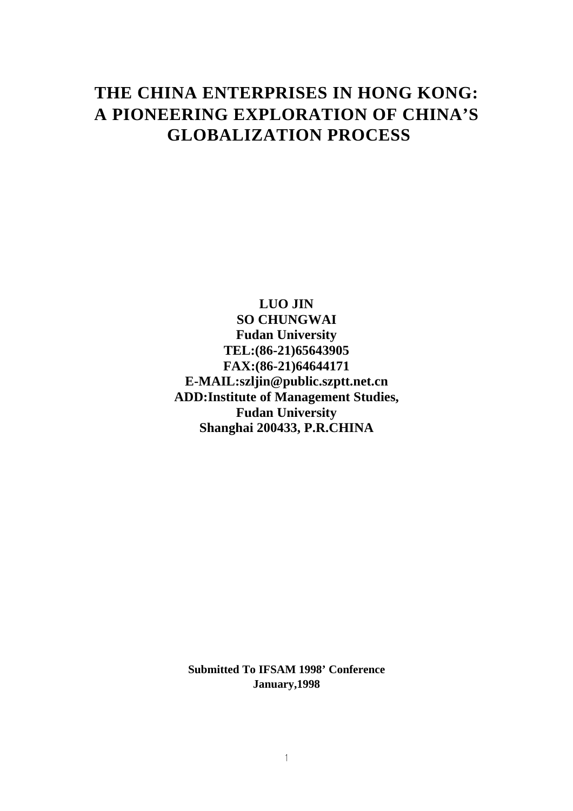# **THE CHINA ENTERPRISES IN HONG KONG: A PIONEERING EXPLORATION OF CHINA'S GLOBALIZATION PROCESS**

**LUO JIN SO CHUNGWAI Fudan University TEL:(86-21)65643905 FAX:(86-21)64644171 E-MAIL:szljin@public.szptt.net.cn ADD:Institute of Management Studies, Fudan University Shanghai 200433, P.R.CHINA**

**Submitted To IFSAM 1998' Conference January,1998**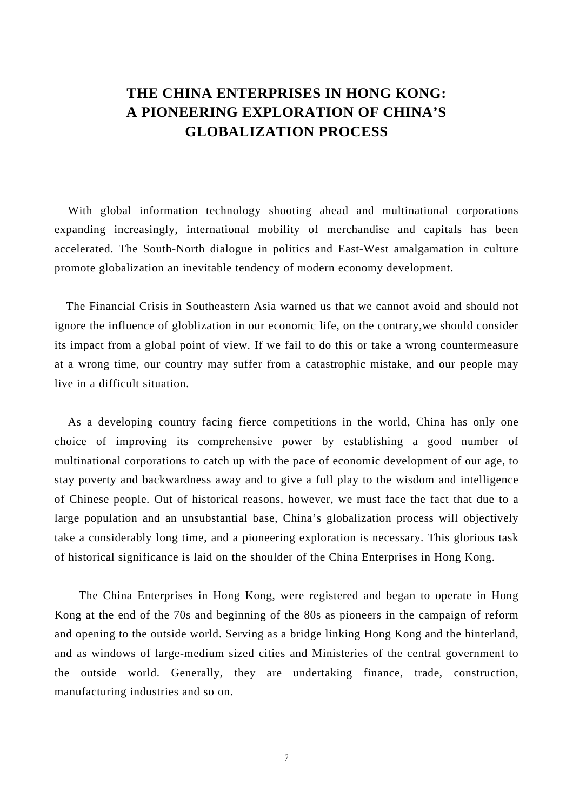## **THE CHINA ENTERPRISES IN HONG KONG: A PIONEERING EXPLORATION OF CHINA'S GLOBALIZATION PROCESS**

With global information technology shooting ahead and multinational corporations expanding increasingly, international mobility of merchandise and capitals has been accelerated. The South-North dialogue in politics and East-West amalgamation in culture promote globalization an inevitable tendency of modern economy development.

 The Financial Crisis in Southeastern Asia warned us that we cannot avoid and should not ignore the influence of globlization in our economic life, on the contrary,we should consider its impact from a global point of view. If we fail to do this or take a wrong countermeasure at a wrong time, our country may suffer from a catastrophic mistake, and our people may live in a difficult situation.

 As a developing country facing fierce competitions in the world, China has only one choice of improving its comprehensive power by establishing a good number of multinational corporations to catch up with the pace of economic development of our age, to stay poverty and backwardness away and to give a full play to the wisdom and intelligence of Chinese people. Out of historical reasons, however, we must face the fact that due to a large population and an unsubstantial base, China's globalization process will objectively take a considerably long time, and a pioneering exploration is necessary. This glorious task of historical significance is laid on the shoulder of the China Enterprises in Hong Kong.

The China Enterprises in Hong Kong, were registered and began to operate in Hong Kong at the end of the 70s and beginning of the 80s as pioneers in the campaign of reform and opening to the outside world. Serving as a bridge linking Hong Kong and the hinterland, and as windows of large-medium sized cities and Ministeries of the central government to the outside world. Generally, they are undertaking finance, trade, construction, manufacturing industries and so on.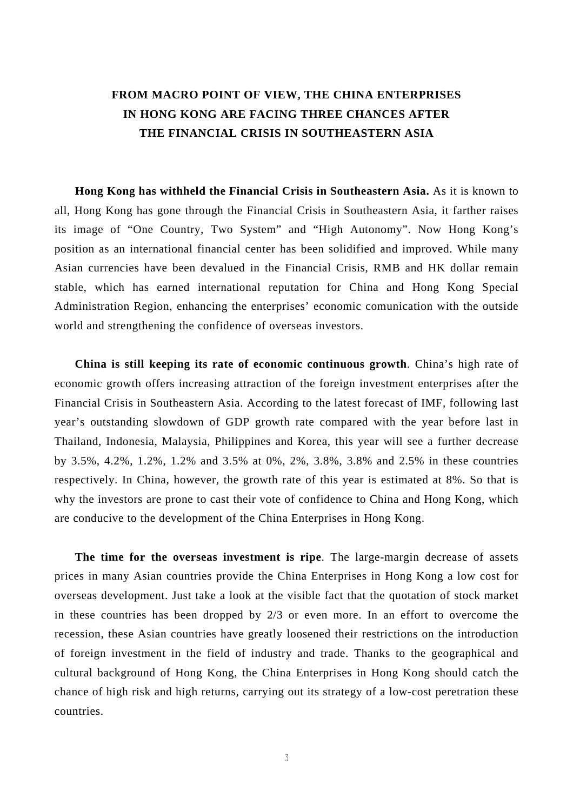### **FROM MACRO POINT OF VIEW, THE CHINA ENTERPRISES IN HONG KONG ARE FACING THREE CHANCES AFTER THE FINANCIAL CRISIS IN SOUTHEASTERN ASIA**

**Hong Kong has withheld the Financial Crisis in Southeastern Asia.** As it is known to all, Hong Kong has gone through the Financial Crisis in Southeastern Asia, it farther raises its image of "One Country, Two System" and "High Autonomy". Now Hong Kong's position as an international financial center has been solidified and improved. While many Asian currencies have been devalued in the Financial Crisis, RMB and HK dollar remain stable, which has earned international reputation for China and Hong Kong Special Administration Region, enhancing the enterprises' economic comunication with the outside world and strengthening the confidence of overseas investors.

**China is still keeping its rate of economic continuous growth**. China's high rate of economic growth offers increasing attraction of the foreign investment enterprises after the Financial Crisis in Southeastern Asia. According to the latest forecast of IMF, following last year's outstanding slowdown of GDP growth rate compared with the year before last in Thailand, Indonesia, Malaysia, Philippines and Korea, this year will see a further decrease by 3.5%, 4.2%, 1.2%, 1.2% and 3.5% at 0%, 2%, 3.8%, 3.8% and 2.5% in these countries respectively. In China, however, the growth rate of this year is estimated at 8%. So that is why the investors are prone to cast their vote of confidence to China and Hong Kong, which are conducive to the development of the China Enterprises in Hong Kong.

**The time for the overseas investment is ripe**. The large-margin decrease of assets prices in many Asian countries provide the China Enterprises in Hong Kong a low cost for overseas development. Just take a look at the visible fact that the quotation of stock market in these countries has been dropped by 2/3 or even more. In an effort to overcome the recession, these Asian countries have greatly loosened their restrictions on the introduction of foreign investment in the field of industry and trade. Thanks to the geographical and cultural background of Hong Kong, the China Enterprises in Hong Kong should catch the chance of high risk and high returns, carrying out its strategy of a low-cost peretration these countries.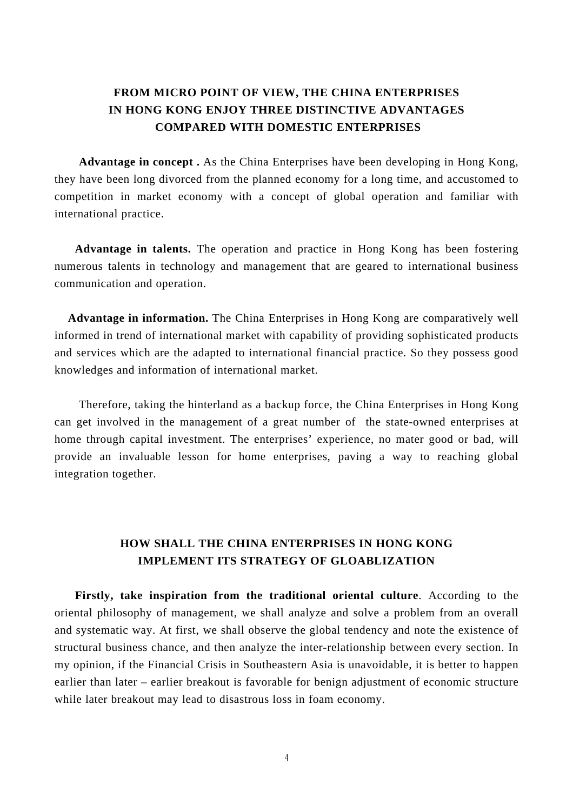#### **FROM MICRO POINT OF VIEW, THE CHINA ENTERPRISES IN HONG KONG ENJOY THREE DISTINCTIVE ADVANTAGES COMPARED WITH DOMESTIC ENTERPRISES**

**Advantage in concept .** As the China Enterprises have been developing in Hong Kong, they have been long divorced from the planned economy for a long time, and accustomed to competition in market economy with a concept of global operation and familiar with international practice.

**Advantage in talents.** The operation and practice in Hong Kong has been fostering numerous talents in technology and management that are geared to international business communication and operation.

 **Advantage in information.** The China Enterprises in Hong Kong are comparatively well informed in trend of international market with capability of providing sophisticated products and services which are the adapted to international financial practice. So they possess good knowledges and information of international market.

Therefore, taking the hinterland as a backup force, the China Enterprises in Hong Kong can get involved in the management of a great number of the state-owned enterprises at home through capital investment. The enterprises' experience, no mater good or bad, will provide an invaluable lesson for home enterprises, paving a way to reaching global integration together.

#### **HOW SHALL THE CHINA ENTERPRISES IN HONG KONG IMPLEMENT ITS STRATEGY OF GLOABLIZATION**

**Firstly, take inspiration from the traditional oriental culture**. According to the oriental philosophy of management, we shall analyze and solve a problem from an overall and systematic way. At first, we shall observe the global tendency and note the existence of structural business chance, and then analyze the inter-relationship between every section. In my opinion, if the Financial Crisis in Southeastern Asia is unavoidable, it is better to happen earlier than later – earlier breakout is favorable for benign adjustment of economic structure while later breakout may lead to disastrous loss in foam economy.